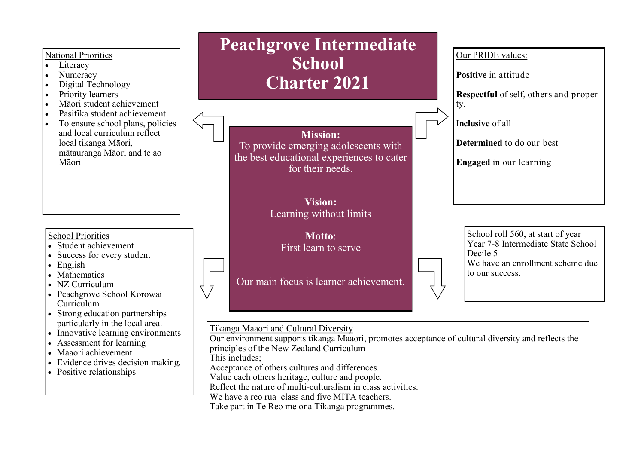

- Literacy
- Numeracy
- Digital Technology
- Priority learners
- Māori student achievement
- Pasifika student achievement.
- To ensure school plans, policies and local curriculum reflect local tikanga Māori, mātauranga Māori and te ao Māori

## School Priorities

- Student achievement
- Success for every student
- English
- Mathematics
- NZ Curriculum
- Peachgrove School Korowai Curriculum
- Strong education partnerships particularly in the local area.
- Innovative learning environments
- Assessment for learning
- Maaori achievement
- Evidence drives decision making.
- Positive relationships



Tikanga Maaori and Cultural Diversity

Our environment supports tikanga Maaori, promotes acceptance of cultural diversity and reflects the principles of the New Zealand Curriculum

This includes;

Acceptance of others cultures and differences.

Value each others heritage, culture and people.

Reflect the nature of multi-culturalism in class activities.

We have a reo rua class and five MITA teachers.

Take part in Te Reo me ona Tikanga programmes.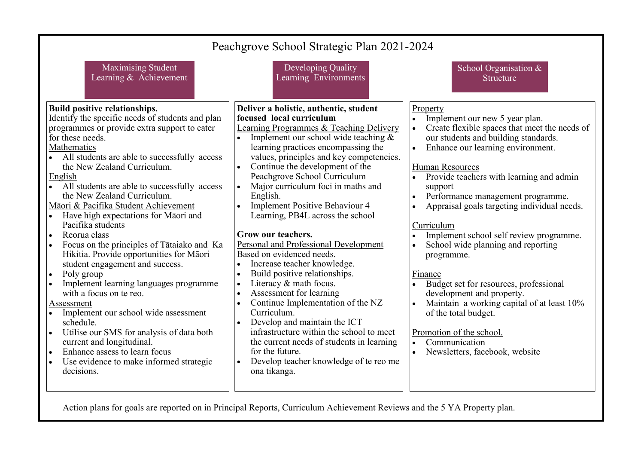| Peachgrove School Strategic Plan 2021-2024                                                                                                                                                                                                                                                                                                                                                                                                                                                                                                                                                                                                                                                                                                                                                                                                                                                                                                                                        |                                                                                                                                                                                                                                                                                                                                                                                                                                                                                                                                                                                                                                                                                                                                                                                                                                                                                                                                                                                                                  |                                                                                                                                                                                                                                                                                                                                                                                                                                                                                                                                                                                                                                                                                                   |  |  |  |  |
|-----------------------------------------------------------------------------------------------------------------------------------------------------------------------------------------------------------------------------------------------------------------------------------------------------------------------------------------------------------------------------------------------------------------------------------------------------------------------------------------------------------------------------------------------------------------------------------------------------------------------------------------------------------------------------------------------------------------------------------------------------------------------------------------------------------------------------------------------------------------------------------------------------------------------------------------------------------------------------------|------------------------------------------------------------------------------------------------------------------------------------------------------------------------------------------------------------------------------------------------------------------------------------------------------------------------------------------------------------------------------------------------------------------------------------------------------------------------------------------------------------------------------------------------------------------------------------------------------------------------------------------------------------------------------------------------------------------------------------------------------------------------------------------------------------------------------------------------------------------------------------------------------------------------------------------------------------------------------------------------------------------|---------------------------------------------------------------------------------------------------------------------------------------------------------------------------------------------------------------------------------------------------------------------------------------------------------------------------------------------------------------------------------------------------------------------------------------------------------------------------------------------------------------------------------------------------------------------------------------------------------------------------------------------------------------------------------------------------|--|--|--|--|
| Maximising Student<br>Learning & Achievement                                                                                                                                                                                                                                                                                                                                                                                                                                                                                                                                                                                                                                                                                                                                                                                                                                                                                                                                      | Developing Quality<br>Learning Environments                                                                                                                                                                                                                                                                                                                                                                                                                                                                                                                                                                                                                                                                                                                                                                                                                                                                                                                                                                      | School Organisation &<br><b>Structure</b>                                                                                                                                                                                                                                                                                                                                                                                                                                                                                                                                                                                                                                                         |  |  |  |  |
| Build positive relationships.<br>Identify the specific needs of students and plan<br>programmes or provide extra support to cater<br>for these needs.<br>Mathematics<br>• All students are able to successfully access<br>the New Zealand Curriculum.<br>English<br>• All students are able to successfully access<br>the New Zealand Curriculum.<br>Māori & Pacifika Student Achievement<br>Have high expectations for Māori and<br>$\bullet$<br>Pacifika students<br>Reorua class<br>$\bullet$<br>Focus on the principles of Tātaiako and Ka<br>Hikitia. Provide opportunities for Māori<br>student engagement and success.<br>Poly group<br>$\bullet$<br>Implement learning languages programme<br>with a focus on te reo.<br>Assessment<br>Implement our school wide assessment<br>schedule.<br>Utilise our SMS for analysis of data both<br>current and longitudinal.<br>Enhance assess to learn focus<br>$\bullet$<br>Use evidence to make informed strategic<br>decisions. | Deliver a holistic, authentic, student<br>focused local curriculum<br>Learning Programmes & Teaching Delivery<br>Implement our school wide teaching &<br>learning practices encompassing the<br>values, principles and key competencies.<br>Continue the development of the<br>Peachgrove School Curriculum<br>Major curriculum foci in maths and<br>English.<br><b>Implement Positive Behaviour 4</b><br>$\bullet$<br>Learning, PB4L across the school<br>Grow our teachers.<br>Personal and Professional Development<br>Based on evidenced needs.<br>Increase teacher knowledge.<br>Build positive relationships.<br>$\bullet$<br>Literacy & math focus.<br>$\bullet$<br>Assessment for learning<br>$\bullet$<br>Continue Implementation of the NZ<br>$\bullet$<br>Curriculum.<br>Develop and maintain the ICT<br>$\bullet$<br>infrastructure within the school to meet<br>the current needs of students in learning<br>for the future.<br>Develop teacher knowledge of te reo me<br>$\bullet$<br>ona tikanga. | Property<br>Implement our new 5 year plan.<br>Create flexible spaces that meet the needs of<br>our students and building standards.<br>Enhance our learning environment.<br><b>Human Resources</b><br>Provide teachers with learning and admin<br>support<br>Performance management programme.<br>Appraisal goals targeting individual needs.<br>Curriculum<br>Implement school self review programme.<br>School wide planning and reporting<br>programme.<br>Finance<br>Budget set for resources, professional<br>development and property.<br>Maintain a working capital of at least 10%<br>of the total budget.<br>Promotion of the school.<br>Communication<br>Newsletters, facebook, website |  |  |  |  |

Action plans for goals are reported on in Principal Reports, Curriculum Achievement Reviews and the 5 YA Property plan.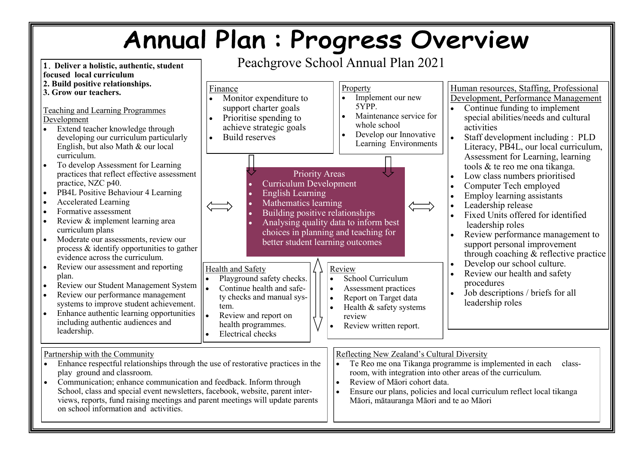## Annual Plan: Progress Overview